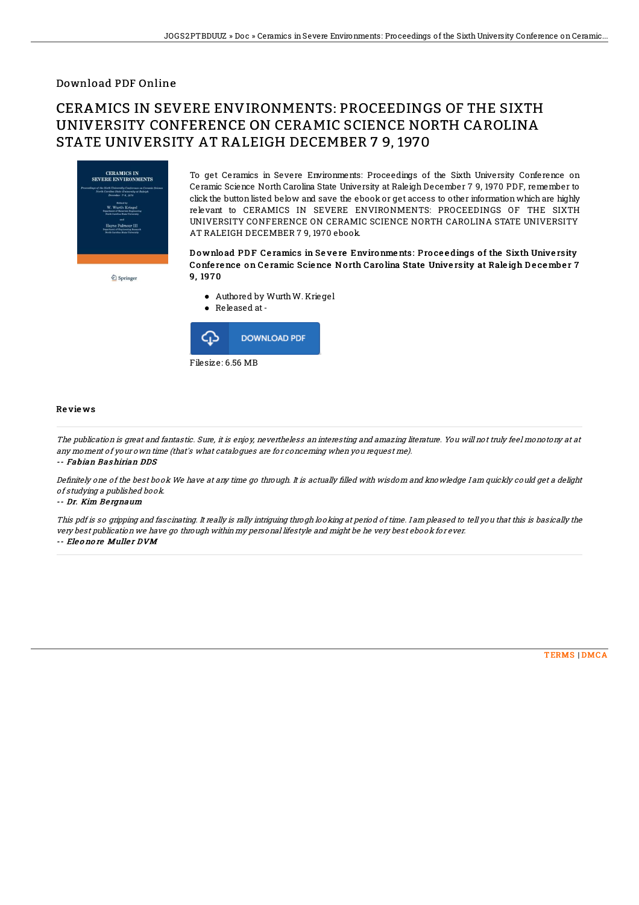### Download PDF Online

# CERAMICS IN SEVERE ENVIRONMENTS: PROCEEDINGS OF THE SIXTH UNIVERSITY CONFERENCE ON CERAMIC SCIENCE NORTH CAROLINA STATE UNIVERSITY AT RALEIGH DECEMBER 7 9, 1970



 $\underline{\textcircled{\tiny 2}}$  Springer

To get Ceramics in Severe Environments: Proceedings of the Sixth University Conference on Ceramic Science North Carolina State University at Raleigh December 7 9, 1970 PDF, remember to click the button listed below and save the ebook or get access to other information which are highly relevant to CERAMICS IN SEVERE ENVIRONMENTS: PROCEEDINGS OF THE SIXTH UNIVERSITY CONFERENCE ON CERAMIC SCIENCE NORTH CAROLINA STATE UNIVERSITY AT RALEIGH DECEMBER 7 9, 1970 ebook.

#### Download PDF Ceramics in Severe Environments: Proceedings of the Sixth University Confe re nce on Ce ramic Scie nce No rth Caro lina State Unive rsity at Rale igh D e ce mbe r 7 9, 197 0

- Authored by WurthW. Kriegel
- Released at-



#### Re vie ws

The publication is great and fantastic. Sure, it is enjoy, nevertheless an interesting and amazing literature. You will not truly feel monotony at at any moment of your own time (that's what catalogues are for concerning when you request me).

-- Fabian Bas hirian DDS

Definitely one of the best book We have at any time go through. It is actually filled with wisdom and knowledge I am quickly could get a delight of studying <sup>a</sup> published book.

-- Dr. Kim Be rgnaum

This pdf is so gripping and fascinating. It really is rally intriguing throgh looking at period of time. I am pleased to tell you that this is basically the very best publication we have go through within my personal lifestyle and might be he very best ebook for ever. -- Eleonore Muller DVM